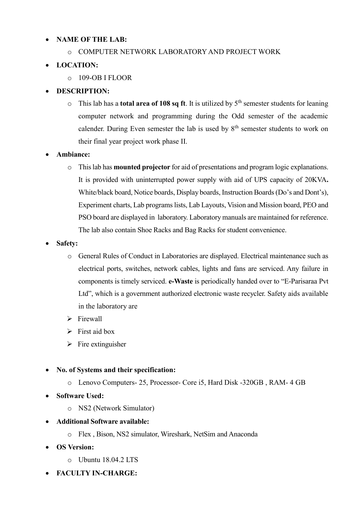## **NAME OF THE LAB:**

## o COMPUTER NETWORK LABORATORY AND PROJECT WORK

## **LOCATION:**

o 109-OB I FLOOR

## **DESCRIPTION:**

 $\circ$  This lab has a **total area of 108 sq ft**. It is utilized by  $5<sup>th</sup>$  semester students for leaning computer network and programming during the Odd semester of the academic calender. During Even semester the lab is used by  $8<sup>th</sup>$  semester students to work on their final year project work phase II.

## **Ambiance:**

- o This lab has **mounted projector** for aid of presentations and program logic explanations. It is provided with uninterrupted power supply with aid of UPS capacity of 20KVA**.**  White/black board, Notice boards, Display boards, Instruction Boards (Do's and Dont's), Experiment charts, Lab programs lists, Lab Layouts, Vision and Mission board, PEO and PSO board are displayed in laboratory. Laboratory manuals are maintained for reference. The lab also contain Shoe Racks and Bag Racks for student convenience.
- **Safety:** 
	- o General Rules of Conduct in Laboratories are displayed. Electrical maintenance such as electrical ports, switches, network cables, lights and fans are serviced. Any failure in components is timely serviced. **e-Waste** is periodically handed over to "E-Parisaraa Pvt Ltd", which is a government authorized electronic waste recycler. Safety aids available in the laboratory are
	- $\triangleright$  Firewall
	- $\triangleright$  First aid box
	- $\triangleright$  Fire extinguisher
- **No. of Systems and their specification:** 
	- o Lenovo Computers- 25, Processor- Core i5, Hard Disk -320GB , RAM- 4 GB
- **Software Used:** 
	- o NS2 (Network Simulator)
- **Additional Software available:** 
	- o Flex , Bison, NS2 simulator, Wireshark, NetSim and Anaconda
- **OS Version:** 
	- o Ubuntu 18.04.2 LTS
- **FACULTY IN-CHARGE:**